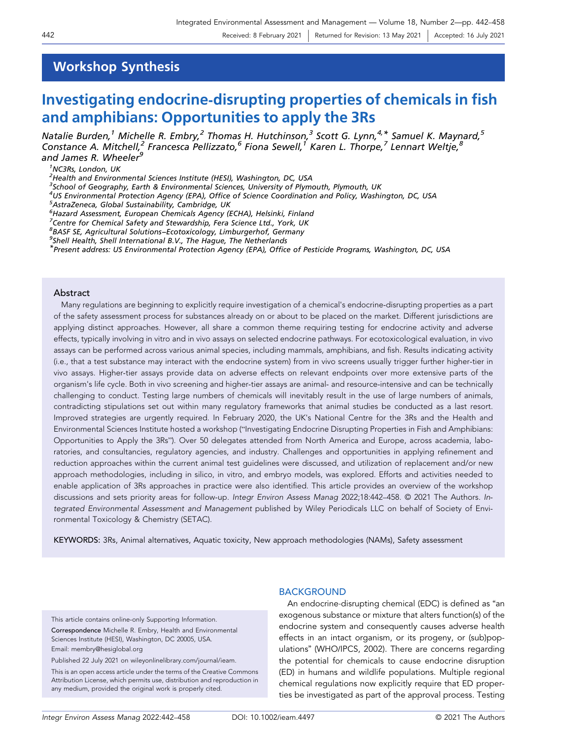# Workshop Synthesis

# Investigating endocrine‐disrupting properties of chemicals in fish and amphibians: Opportunities to apply the 3Rs

Natalie Burden,<sup>1</sup> Michelle R. Embry,<sup>2</sup> Thomas H. Hutchinson,<sup>3</sup> Scott G. Lynn,<sup>4,\*</sup> Samuel K. Maynard,<sup>5</sup> Constance A. Mitchell,<sup>2</sup> Francesca Pellizzato,<sup>6</sup> Fiona Sewell,<sup>1</sup> Karen L. Thorpe,<sup>7</sup> Lennart Weltje,<sup>8</sup> and James R. Wheeler<sup>9</sup>

1 NC3Rs, London, UK

<sup>2</sup>Health and Environmental Sciences Institute (HESI), Washington, DC, USA

<sup>3</sup>School of Geography, Earth & Environmental Sciences, University of Plymouth, Plymouth, UK

<sup>4</sup>US Environmental Protection Agency (EPA), Office of Science Coordination and Policy, Washington, DC, USA<br><sup>5</sup>AstraZoneca Global Sustainability Cambridge UK

AstraZeneca, Global Sustainability, Cambridge, UK

6 Hazard Assessment, European Chemicals Agency (ECHA), Helsinki, Finland

<sup>7</sup>Centre for Chemical Safety and Stewardship, Fera Science Ltd., York, UK

<sup>8</sup>BASF SE, Agricultural Solutions–Ecotoxicology, Limburgerhof, Germany<br><sup>9</sup>Sholl Haalth, Sholl International B.V., The Hague, The Netherlands

 $9$ Shell Health, Shell International B.V., The Hague, The Netherlands

\*Present address: US Environmental Protection Agency (EPA), Office of Pesticide Programs, Washington, DC, USA

### Abstract

Many regulations are beginning to explicitly require investigation of a chemical's endocrine‐disrupting properties as a part of the safety assessment process for substances already on or about to be placed on the market. Different jurisdictions are applying distinct approaches. However, all share a common theme requiring testing for endocrine activity and adverse effects, typically involving in vitro and in vivo assays on selected endocrine pathways. For ecotoxicological evaluation, in vivo assays can be performed across various animal species, including mammals, amphibians, and fish. Results indicating activity (i.e., that a test substance may interact with the endocrine system) from in vivo screens usually trigger further higher‐tier in vivo assays. Higher-tier assays provide data on adverse effects on relevant endpoints over more extensive parts of the organism's life cycle. Both in vivo screening and higher‐tier assays are animal‐ and resource‐intensive and can be technically challenging to conduct. Testing large numbers of chemicals will inevitably result in the use of large numbers of animals, contradicting stipulations set out within many regulatory frameworks that animal studies be conducted as a last resort. Improved strategies are urgently required. In February 2020, the UK's National Centre for the 3Rs and the Health and Environmental Sciences Institute hosted a workshop ("Investigating Endocrine Disrupting Properties in Fish and Amphibians: Opportunities to Apply the 3Rs"). Over 50 delegates attended from North America and Europe, across academia, laboratories, and consultancies, regulatory agencies, and industry. Challenges and opportunities in applying refinement and reduction approaches within the current animal test guidelines were discussed, and utilization of replacement and/or new approach methodologies, including in silico, in vitro, and embryo models, was explored. Efforts and activities needed to enable application of 3Rs approaches in practice were also identified. This article provides an overview of the workshop discussions and sets priority areas for follow‐up. Integr Environ Assess Manag 2022;18:442–458. © 2021 The Authors. Integrated Environmental Assessment and Management published by Wiley Periodicals LLC on behalf of Society of Environmental Toxicology & Chemistry (SETAC).

KEYWORDS: 3Rs, Animal alternatives, Aquatic toxicity, New approach methodologies (NAMs), Safety assessment

This article contains online‐only Supporting Information.

Correspondence Michelle R. Embry, Health and Environmental Sciences Institute (HESI), Washington, DC 20005, USA. Email: [membry@hesiglobal.org](mailto:membry@hesiglobal.org)

Published 22 July 2021 on wileyonlinelibrary.com/journal/ieam.

This is an open access article under the terms of the Creative Commons Attribution License, which permits use, distribution and reproduction in any medium, provided the original work is properly cited.

## **BACKGROUND**

An endocrine‐disrupting chemical (EDC) is defined as "an exogenous substance or mixture that alters function(s) of the endocrine system and consequently causes adverse health effects in an intact organism, or its progeny, or (sub)populations" (WHO/IPCS, 2002). There are concerns regarding the potential for chemicals to cause endocrine disruption (ED) in humans and wildlife populations. Multiple regional chemical regulations now explicitly require that ED properties be investigated as part of the approval process. Testing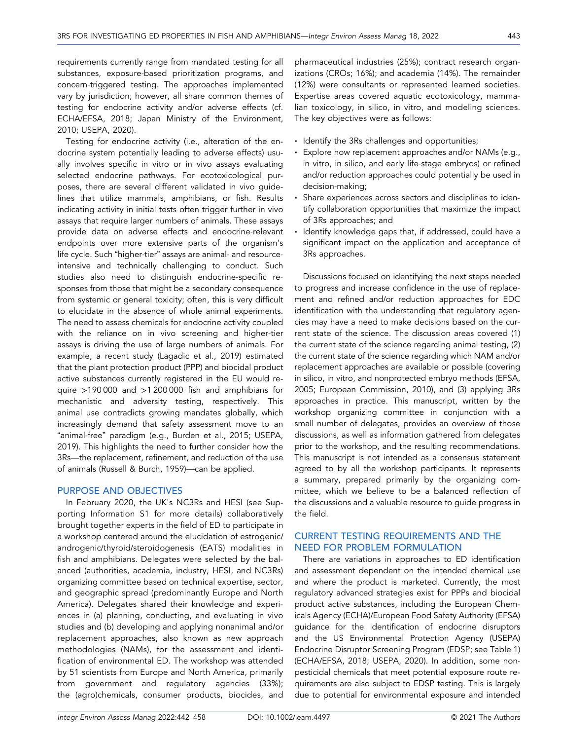requirements currently range from mandated testing for all substances, exposure‐based prioritization programs, and concern‐triggered testing. The approaches implemented vary by jurisdiction; however, all share common themes of testing for endocrine activity and/or adverse effects (cf. ECHA/EFSA, 2018; Japan Ministry of the Environment, 2010; USEPA, 2020).

Testing for endocrine activity (i.e., alteration of the endocrine system potentially leading to adverse effects) usually involves specific in vitro or in vivo assays evaluating selected endocrine pathways. For ecotoxicological purposes, there are several different validated in vivo guidelines that utilize mammals, amphibians, or fish. Results indicating activity in initial tests often trigger further in vivo assays that require larger numbers of animals. These assays provide data on adverse effects and endocrine‐relevant endpoints over more extensive parts of the organism's life cycle. Such "higher‐tier" assays are animal‐ and resource‐ intensive and technically challenging to conduct. Such studies also need to distinguish endocrine‐specific responses from those that might be a secondary consequence from systemic or general toxicity; often, this is very difficult to elucidate in the absence of whole animal experiments. The need to assess chemicals for endocrine activity coupled with the reliance on in vivo screening and higher‐tier assays is driving the use of large numbers of animals. For example, a recent study (Lagadic et al., 2019) estimated that the plant protection product (PPP) and biocidal product active substances currently registered in the EU would require >190 000 and >1 200 000 fish and amphibians for mechanistic and adversity testing, respectively. This animal use contradicts growing mandates globally, which increasingly demand that safety assessment move to an "animal‐free" paradigm (e.g., Burden et al., 2015; USEPA, 2019). This highlights the need to further consider how the 3Rs—the replacement, refinement, and reduction of the use of animals (Russell & Burch, 1959)—can be applied.

### PURPOSE AND OBJECTIVES

In February 2020, the UK's NC3Rs and HESI (see Supporting Information S1 for more details) collaboratively brought together experts in the field of ED to participate in a workshop centered around the elucidation of estrogenic/ androgenic/thyroid/steroidogenesis (EATS) modalities in fish and amphibians. Delegates were selected by the balanced (authorities, academia, industry, HESI, and NC3Rs) organizing committee based on technical expertise, sector, and geographic spread (predominantly Europe and North America). Delegates shared their knowledge and experiences in (a) planning, conducting, and evaluating in vivo studies and (b) developing and applying nonanimal and/or replacement approaches, also known as new approach methodologies (NAMs), for the assessment and identification of environmental ED. The workshop was attended by 51 scientists from Europe and North America, primarily from government and regulatory agencies (33%); the (agro)chemicals, consumer products, biocides, and

pharmaceutical industries (25%); contract research organizations (CROs; 16%); and academia (14%). The remainder (12%) were consultants or represented learned societies. Expertise areas covered aquatic ecotoxicology, mammalian toxicology, in silico, in vitro, and modeling sciences. The key objectives were as follows:

- Identify the 3Rs challenges and opportunities;
- Explore how replacement approaches and/or NAMs (e.g., in vitro, in silico, and early life‐stage embryos) or refined and/or reduction approaches could potentially be used in decision‐making;
- Share experiences across sectors and disciplines to identify collaboration opportunities that maximize the impact of 3Rs approaches; and
- Identify knowledge gaps that, if addressed, could have a significant impact on the application and acceptance of 3Rs approaches.

Discussions focused on identifying the next steps needed to progress and increase confidence in the use of replacement and refined and/or reduction approaches for EDC identification with the understanding that regulatory agencies may have a need to make decisions based on the current state of the science. The discussion areas covered (1) the current state of the science regarding animal testing, (2) the current state of the science regarding which NAM and/or replacement approaches are available or possible (covering in silico, in vitro, and nonprotected embryo methods (EFSA, 2005; European Commission, 2010), and (3) applying 3Rs approaches in practice. This manuscript, written by the workshop organizing committee in conjunction with a small number of delegates, provides an overview of those discussions, as well as information gathered from delegates prior to the workshop, and the resulting recommendations. This manuscript is not intended as a consensus statement agreed to by all the workshop participants. It represents a summary, prepared primarily by the organizing committee, which we believe to be a balanced reflection of the discussions and a valuable resource to guide progress in the field.

## CURRENT TESTING REQUIREMENTS AND THE NEED FOR PROBLEM FORMULATION

There are variations in approaches to ED identification and assessment dependent on the intended chemical use and where the product is marketed. Currently, the most regulatory advanced strategies exist for PPPs and biocidal product active substances, including the European Chemicals Agency (ECHA)/European Food Safety Authority (EFSA) guidance for the identification of endocrine disruptors and the US Environmental Protection Agency (USEPA) Endocrine Disruptor Screening Program (EDSP; see Table 1) (ECHA/EFSA, 2018; USEPA, 2020). In addition, some non‐ pesticidal chemicals that meet potential exposure route requirements are also subject to EDSP testing. This is largely due to potential for environmental exposure and intended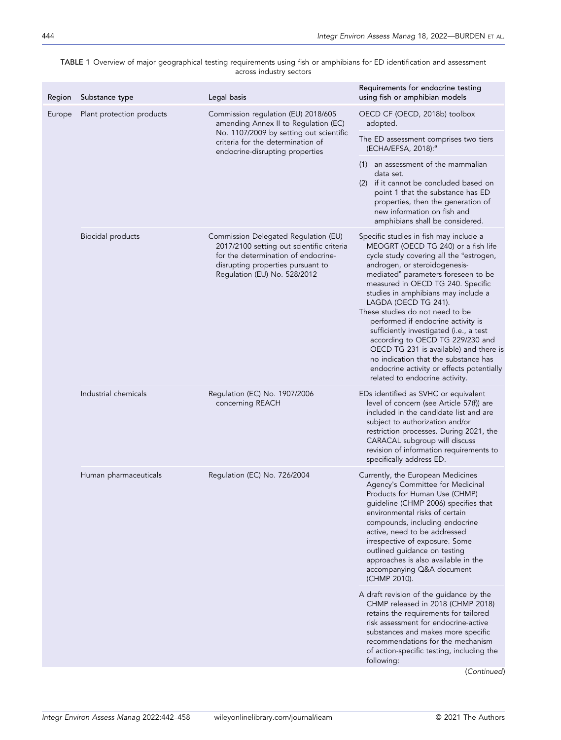| TABLE 1 Overview of major geographical testing requirements using fish or amphibians for ED identification and assessment |                         |  |  |
|---------------------------------------------------------------------------------------------------------------------------|-------------------------|--|--|
|                                                                                                                           | across industry sectors |  |  |

| Region | Substance type            | Legal basis                                                                                                                                                                                   | Requirements for endocrine testing<br>using fish or amphibian models                                                                                                                                                                                                                                                                                                                                                                                                                                                                                                                                                          |
|--------|---------------------------|-----------------------------------------------------------------------------------------------------------------------------------------------------------------------------------------------|-------------------------------------------------------------------------------------------------------------------------------------------------------------------------------------------------------------------------------------------------------------------------------------------------------------------------------------------------------------------------------------------------------------------------------------------------------------------------------------------------------------------------------------------------------------------------------------------------------------------------------|
| Europe | Plant protection products | Commission regulation (EU) 2018/605<br>amending Annex II to Regulation (EC)                                                                                                                   | OECD CF (OECD, 2018b) toolbox<br>adopted.                                                                                                                                                                                                                                                                                                                                                                                                                                                                                                                                                                                     |
|        |                           | No. 1107/2009 by setting out scientific<br>criteria for the determination of<br>endocrine-disrupting properties                                                                               | The ED assessment comprises two tiers<br>(ECHA/EFSA, 2018): <sup>a</sup>                                                                                                                                                                                                                                                                                                                                                                                                                                                                                                                                                      |
|        |                           |                                                                                                                                                                                               | (1) an assessment of the mammalian<br>data set.<br>(2) if it cannot be concluded based on<br>point 1 that the substance has ED<br>properties, then the generation of<br>new information on fish and<br>amphibians shall be considered.                                                                                                                                                                                                                                                                                                                                                                                        |
|        | Biocidal products         | Commission Delegated Regulation (EU)<br>2017/2100 setting out scientific criteria<br>for the determination of endocrine-<br>disrupting properties pursuant to<br>Regulation (EU) No. 528/2012 | Specific studies in fish may include a<br>MEOGRT (OECD TG 240) or a fish life<br>cycle study covering all the "estrogen,<br>androgen, or steroidogenesis-<br>mediated" parameters foreseen to be<br>measured in OECD TG 240. Specific<br>studies in amphibians may include a<br>LAGDA (OECD TG 241).<br>These studies do not need to be<br>performed if endocrine activity is<br>sufficiently investigated (i.e., a test<br>according to OECD TG 229/230 and<br>OECD TG 231 is available) and there is<br>no indication that the substance has<br>endocrine activity or effects potentially<br>related to endocrine activity. |
|        | Industrial chemicals      | Regulation (EC) No. 1907/2006<br>concerning REACH                                                                                                                                             | EDs identified as SVHC or equivalent<br>level of concern (see Article 57(f)) are<br>included in the candidate list and are<br>subject to authorization and/or<br>restriction processes. During 2021, the<br>CARACAL subgroup will discuss<br>revision of information requirements to<br>specifically address ED.                                                                                                                                                                                                                                                                                                              |
|        | Human pharmaceuticals     | Regulation (EC) No. 726/2004                                                                                                                                                                  | Currently, the European Medicines<br>Agency's Committee for Medicinal<br>Products for Human Use (CHMP)<br>guideline (CHMP 2006) specifies that<br>environmental risks of certain<br>compounds, including endocrine<br>active, need to be addressed<br>irrespective of exposure. Some<br>outlined guidance on testing<br>approaches is also available in the<br>accompanying Q&A document<br>(CHMP 2010).                                                                                                                                                                                                                      |
|        |                           |                                                                                                                                                                                               | A draft revision of the guidance by the<br>CHMP released in 2018 (CHMP 2018)<br>retains the requirements for tailored<br>risk assessment for endocrine-active<br>substances and makes more specific<br>recommendations for the mechanism<br>of action-specific testing, including the<br>following:                                                                                                                                                                                                                                                                                                                           |
|        |                           |                                                                                                                                                                                               | (Continued)                                                                                                                                                                                                                                                                                                                                                                                                                                                                                                                                                                                                                   |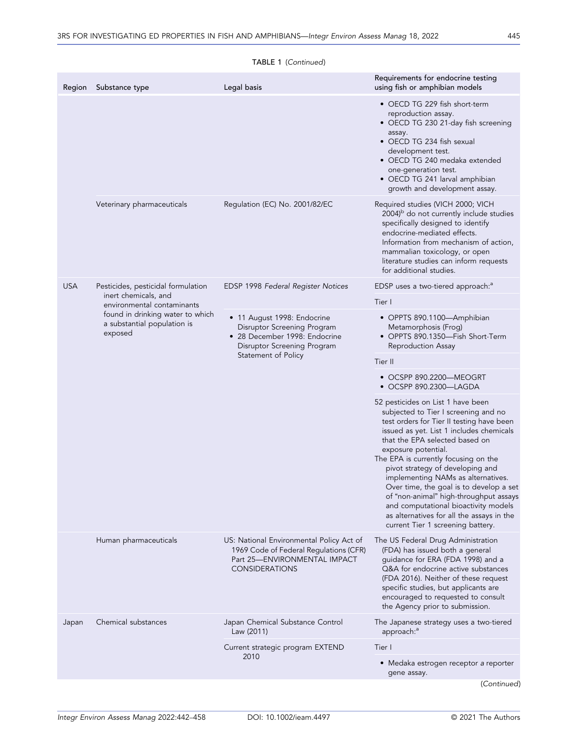| Region     | Substance type                                                             | Legal basis                                                                                                                                       | Requirements for endocrine testing<br>using fish or amphibian models                                                                                                                                                                                                                                                                                                                                                                                                                                                                                         |
|------------|----------------------------------------------------------------------------|---------------------------------------------------------------------------------------------------------------------------------------------------|--------------------------------------------------------------------------------------------------------------------------------------------------------------------------------------------------------------------------------------------------------------------------------------------------------------------------------------------------------------------------------------------------------------------------------------------------------------------------------------------------------------------------------------------------------------|
|            |                                                                            |                                                                                                                                                   | • OECD TG 229 fish short-term<br>reproduction assay.<br>• OECD TG 230 21-day fish screening<br>assay.<br>• OECD TG 234 fish sexual<br>development test.<br>• OECD TG 240 medaka extended<br>one-generation test.<br>• OECD TG 241 larval amphibian<br>growth and development assay.                                                                                                                                                                                                                                                                          |
|            | Veterinary pharmaceuticals                                                 | Regulation (EC) No. 2001/82/EC                                                                                                                    | Required studies (VICH 2000; VICH<br>2004) <sup>b</sup> do not currently include studies<br>specifically designed to identify<br>endocrine-mediated effects.<br>Information from mechanism of action,<br>mammalian toxicology, or open<br>literature studies can inform requests<br>for additional studies.                                                                                                                                                                                                                                                  |
| <b>USA</b> | Pesticides, pesticidal formulation                                         | EDSP 1998 Federal Register Notices                                                                                                                | EDSP uses a two-tiered approach: <sup>a</sup>                                                                                                                                                                                                                                                                                                                                                                                                                                                                                                                |
|            | inert chemicals, and<br>environmental contaminants                         |                                                                                                                                                   | Tier I                                                                                                                                                                                                                                                                                                                                                                                                                                                                                                                                                       |
|            | found in drinking water to which<br>a substantial population is<br>exposed | • 11 August 1998: Endocrine<br>Disruptor Screening Program<br>• 28 December 1998: Endocrine<br>Disruptor Screening Program<br>Statement of Policy | • OPPTS 890.1100-Amphibian<br>Metamorphosis (Frog)<br>• OPPTS 890.1350-Fish Short-Term<br>Reproduction Assay                                                                                                                                                                                                                                                                                                                                                                                                                                                 |
|            |                                                                            |                                                                                                                                                   | Tier II                                                                                                                                                                                                                                                                                                                                                                                                                                                                                                                                                      |
|            |                                                                            |                                                                                                                                                   | • OCSPP 890.2200-MEOGRT<br>• OCSPP 890.2300—LAGDA                                                                                                                                                                                                                                                                                                                                                                                                                                                                                                            |
|            |                                                                            |                                                                                                                                                   | 52 pesticides on List 1 have been<br>subjected to Tier I screening and no<br>test orders for Tier II testing have been<br>issued as yet. List 1 includes chemicals<br>that the EPA selected based on<br>exposure potential.<br>The EPA is currently focusing on the<br>pivot strategy of developing and<br>implementing NAMs as alternatives.<br>Over time, the goal is to develop a set<br>of "non-animal" high-throughput assays<br>and computational bioactivity models<br>as alternatives for all the assays in the<br>current Tier 1 screening battery. |
|            | Human pharmaceuticals                                                      | US: National Environmental Policy Act of<br>1969 Code of Federal Regulations (CFR)<br>Part 25-ENVIRONMENTAL IMPACT<br><b>CONSIDERATIONS</b>       | The US Federal Drug Administration<br>(FDA) has issued both a general<br>guidance for ERA (FDA 1998) and a<br>Q&A for endocrine active substances<br>(FDA 2016). Neither of these request<br>specific studies, but applicants are<br>encouraged to requested to consult<br>the Agency prior to submission.                                                                                                                                                                                                                                                   |
| Japan      | Chemical substances                                                        | Japan Chemical Substance Control<br>Law (2011)                                                                                                    | The Japanese strategy uses a two-tiered<br>approach: <sup>"</sup>                                                                                                                                                                                                                                                                                                                                                                                                                                                                                            |
|            |                                                                            | Current strategic program EXTEND                                                                                                                  | Tier I                                                                                                                                                                                                                                                                                                                                                                                                                                                                                                                                                       |
|            |                                                                            | 2010                                                                                                                                              | • Medaka estrogen receptor a reporter<br>gene assay.                                                                                                                                                                                                                                                                                                                                                                                                                                                                                                         |
|            |                                                                            |                                                                                                                                                   | (Continued)                                                                                                                                                                                                                                                                                                                                                                                                                                                                                                                                                  |

# TABLE 1 (Continued)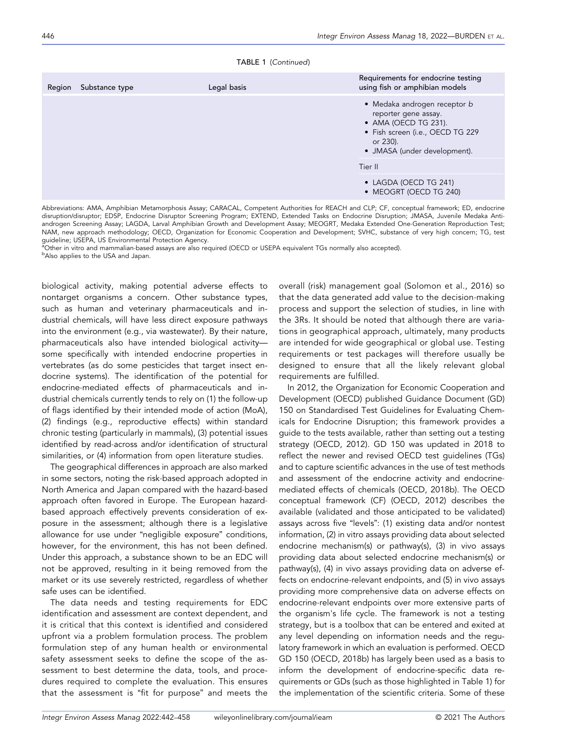|  | TABLE 1 (Continued) |
|--|---------------------|
|--|---------------------|

| Region | Substance type | Legal basis                                                                                                                                                  | Requirements for endocrine testing<br>using fish or amphibian models |
|--------|----------------|--------------------------------------------------------------------------------------------------------------------------------------------------------------|----------------------------------------------------------------------|
|        |                | • Medaka androgen receptor b<br>reporter gene assay.<br>• AMA (OECD TG 231).<br>• Fish screen (i.e., OECD TG 229<br>or 230).<br>• JMASA (under development). |                                                                      |
|        |                | Tier II                                                                                                                                                      |                                                                      |
|        |                |                                                                                                                                                              | $\bullet$ LAGDA (OECD TG 241)<br>• MEOGRT (OECD TG 240)              |

Abbreviations: AMA, Amphibian Metamorphosis Assay; CARACAL, Competent Authorities for REACH and CLP; CF, conceptual framework; ED, endocrine disruption/disruptor; EDSP, Endocrine Disruptor Screening Program; EXTEND, Extended Tasks on Endocrine Disruption; JMASA, Juvenile Medaka Antiandrogen Screening Assay; LAGDA, Larval Amphibian Growth and Development Assay; MEOGRT, Medaka Extended One‐Generation Reproduction Test; NAM, new approach methodology; OECD, Organization for Economic Cooperation and Development; SVHC, substance of very high concern; TG, test guideline; USEPA, US Environmental Protection Agency.

a<br><sup>a</sup>Other in vitro and mammalian-based assays are also required (OECD or USEPA equivalent TGs normally also accepted).<br><sup>b</sup>Also applies to the USA and Japan

**bAlso applies to the USA and Japan.** 

biological activity, making potential adverse effects to nontarget organisms a concern. Other substance types, such as human and veterinary pharmaceuticals and industrial chemicals, will have less direct exposure pathways into the environment (e.g., via wastewater). By their nature, pharmaceuticals also have intended biological activity some specifically with intended endocrine properties in vertebrates (as do some pesticides that target insect endocrine systems). The identification of the potential for endocrine‐mediated effects of pharmaceuticals and industrial chemicals currently tends to rely on (1) the follow‐up of flags identified by their intended mode of action (MoA), (2) findings (e.g., reproductive effects) within standard chronic testing (particularly in mammals), (3) potential issues identified by read‐across and/or identification of structural similarities, or (4) information from open literature studies.

The geographical differences in approach are also marked in some sectors, noting the risk‐based approach adopted in North America and Japan compared with the hazard‐based approach often favored in Europe. The European hazard‐ based approach effectively prevents consideration of exposure in the assessment; although there is a legislative allowance for use under "negligible exposure" conditions, however, for the environment, this has not been defined. Under this approach, a substance shown to be an EDC will not be approved, resulting in it being removed from the market or its use severely restricted, regardless of whether safe uses can be identified.

The data needs and testing requirements for EDC identification and assessment are context dependent, and it is critical that this context is identified and considered upfront via a problem formulation process. The problem formulation step of any human health or environmental safety assessment seeks to define the scope of the assessment to best determine the data, tools, and procedures required to complete the evaluation. This ensures that the assessment is "fit for purpose" and meets the

overall (risk) management goal (Solomon et al., 2016) so that the data generated add value to the decision‐making process and support the selection of studies, in line with the 3Rs. It should be noted that although there are variations in geographical approach, ultimately, many products are intended for wide geographical or global use. Testing requirements or test packages will therefore usually be designed to ensure that all the likely relevant global requirements are fulfilled.

In 2012, the Organization for Economic Cooperation and Development (OECD) published Guidance Document (GD) 150 on Standardised Test Guidelines for Evaluating Chemicals for Endocrine Disruption; this framework provides a guide to the tests available, rather than setting out a testing strategy (OECD, 2012). GD 150 was updated in 2018 to reflect the newer and revised OECD test guidelines (TGs) and to capture scientific advances in the use of test methods and assessment of the endocrine activity and endocrine‐ mediated effects of chemicals (OECD, 2018b). The OECD conceptual framework (CF) (OECD, 2012) describes the available (validated and those anticipated to be validated) assays across five "levels": (1) existing data and/or nontest information, (2) in vitro assays providing data about selected endocrine mechanism(s) or pathway(s), (3) in vivo assays providing data about selected endocrine mechanism(s) or pathway(s), (4) in vivo assays providing data on adverse effects on endocrine‐relevant endpoints, and (5) in vivo assays providing more comprehensive data on adverse effects on endocrine‐relevant endpoints over more extensive parts of the organism's life cycle. The framework is not a testing strategy, but is a toolbox that can be entered and exited at any level depending on information needs and the regulatory framework in which an evaluation is performed. OECD GD 150 (OECD, 2018b) has largely been used as a basis to inform the development of endocrine‐specific data requirements or GDs (such as those highlighted in Table 1) for the implementation of the scientific criteria. Some of these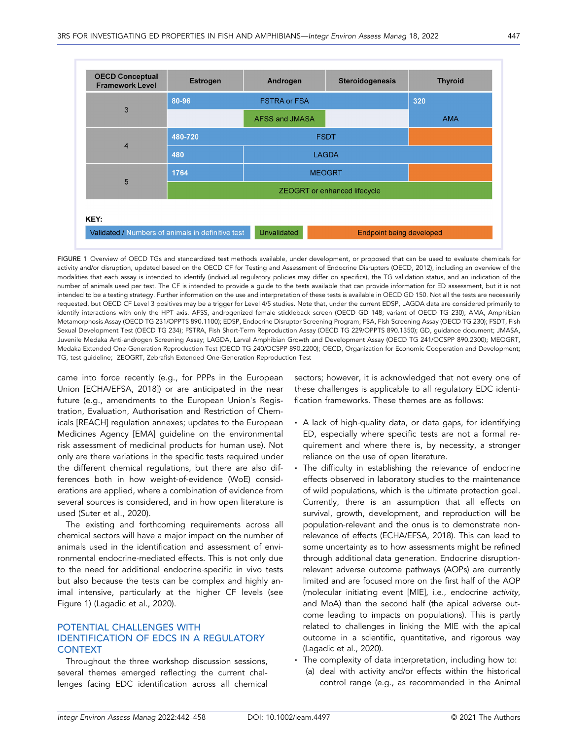| <b>OECD Conceptual</b><br><b>Framework Level</b> | <b>Estrogen</b>                                   | Androgen              | <b>Steroidogenesis</b>          | <b>Thyroid</b> |
|--------------------------------------------------|---------------------------------------------------|-----------------------|---------------------------------|----------------|
|                                                  | 80-96                                             | <b>FSTRA or FSA</b>   |                                 | 320            |
| 3                                                |                                                   | <b>AFSS and JMASA</b> |                                 | <b>AMA</b>     |
| $\overline{4}$                                   | 480-720                                           |                       | <b>FSDT</b>                     |                |
|                                                  | 480                                               | <b>LAGDA</b>          |                                 |                |
|                                                  | 1764                                              | <b>MEOGRT</b>         |                                 |                |
|                                                  | 5<br><b>ZEOGRT</b> or enhanced lifecycle          |                       |                                 |                |
| KEY:                                             |                                                   |                       |                                 |                |
|                                                  | Validated / Numbers of animals in definitive test | <b>Unvalidated</b>    | <b>Endpoint being developed</b> |                |

FIGURE 1 Overview of OECD TGs and standardized test methods available, under development, or proposed that can be used to evaluate chemicals for activity and/or disruption, updated based on the OECD CF for Testing and Assessment of Endocrine Disrupters (OECD, 2012), including an overview of the modalities that each assay is intended to identify (individual regulatory policies may differ on specifics), the TG validation status, and an indication of the number of animals used per test. The CF is intended to provide a guide to the tests available that can provide information for ED assessment, but it is not intended to be a testing strategy. Further information on the use and interpretation of these tests is available in OECD GD 150. Not all the tests are necessarily requested, but OECD CF Level 3 positives may be a trigger for Level 4/5 studies. Note that, under the current EDSP, LAGDA data are considered primarily to identify interactions with only the HPT axis. AFSS, androgenized female stickleback screen (OECD GD 148; variant of OECD TG 230); AMA, Amphibian Metamorphosis Assay (OECD TG 231/OPPTS 890.1100); EDSP, Endocrine Disruptor Screening Program; FSA, Fish Screening Assay (OECD TG 230); FSDT, Fish Sexual Development Test (OECD TG 234); FSTRA, Fish Short‐Term Reproduction Assay (OECD TG 229/OPPTS 890.1350); GD, guidance document; JMASA, Juvenile Medaka Anti-androgen Screening Assay; LAGDA, Larval Amphibian Growth and Development Assay (OECD TG 241/OCSPP 890.2300); MEOGRT, Medaka Extended One‐Generation Reproduction Test (OECD TG 240/OCSPP 890.2200); OECD, Organization for Economic Cooperation and Development; TG, test guideline; ZEOGRT, Zebrafish Extended One‐Generation Reproduction Test

came into force recently (e.g., for PPPs in the European Union [ECHA/EFSA, 2018]) or are anticipated in the near future (e.g., amendments to the European Union's Registration, Evaluation, Authorisation and Restriction of Chemicals [REACH] regulation annexes; updates to the European Medicines Agency [EMA] guideline on the environmental risk assessment of medicinal products for human use). Not only are there variations in the specific tests required under the different chemical regulations, but there are also differences both in how weight‐of‐evidence (WoE) considerations are applied, where a combination of evidence from several sources is considered, and in how open literature is used (Suter et al., 2020).

The existing and forthcoming requirements across all chemical sectors will have a major impact on the number of animals used in the identification and assessment of environmental endocrine‐mediated effects. This is not only due to the need for additional endocrine‐specific in vivo tests but also because the tests can be complex and highly animal intensive, particularly at the higher CF levels (see Figure 1) (Lagadic et al., 2020).

# POTENTIAL CHALLENGES WITH IDENTIFICATION OF EDCS IN A REGULATORY CONTEXT

Throughout the three workshop discussion sessions, several themes emerged reflecting the current challenges facing EDC identification across all chemical sectors; however, it is acknowledged that not every one of these challenges is applicable to all regulatory EDC identification frameworks. These themes are as follows:

- A lack of high-quality data, or data gaps, for identifying ED, especially where specific tests are not a formal requirement and where there is, by necessity, a stronger reliance on the use of open literature.
- The difficulty in establishing the relevance of endocrine effects observed in laboratory studies to the maintenance of wild populations, which is the ultimate protection goal. Currently, there is an assumption that all effects on survival, growth, development, and reproduction will be population‐relevant and the onus is to demonstrate nonrelevance of effects (ECHA/EFSA, 2018). This can lead to some uncertainty as to how assessments might be refined through additional data generation. Endocrine disruption‐ relevant adverse outcome pathways (AOPs) are currently limited and are focused more on the first half of the AOP (molecular initiating event [MIE], i.e., endocrine activity, and MoA) than the second half (the apical adverse outcome leading to impacts on populations). This is partly related to challenges in linking the MIE with the apical outcome in a scientific, quantitative, and rigorous way (Lagadic et al., 2020).
- The complexity of data interpretation, including how to: (a) deal with activity and/or effects within the historical control range (e.g., as recommended in the Animal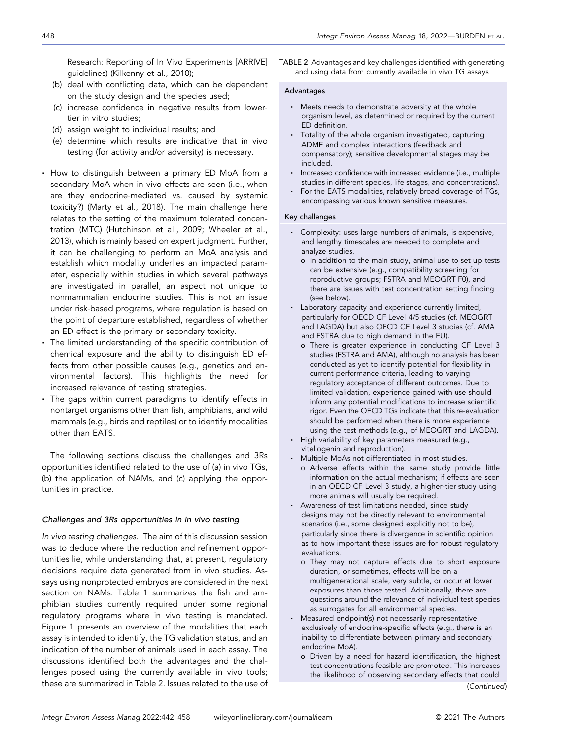Research: Reporting of In Vivo Experiments [ARRIVE] guidelines) (Kilkenny et al., 2010);

- (b) deal with conflicting data, which can be dependent on the study design and the species used;
- (c) increase confidence in negative results from lower‐ tier in vitro studies;
- (d) assign weight to individual results; and
- (e) determine which results are indicative that in vivo testing (for activity and/or adversity) is necessary.
- How to distinguish between a primary ED MoA from a secondary MoA when in vivo effects are seen (i.e., when are they endocrine‐mediated vs. caused by systemic toxicity?) (Marty et al., 2018). The main challenge here relates to the setting of the maximum tolerated concentration (MTC) (Hutchinson et al., 2009; Wheeler et al., 2013), which is mainly based on expert judgment. Further, it can be challenging to perform an MoA analysis and establish which modality underlies an impacted parameter, especially within studies in which several pathways are investigated in parallel, an aspect not unique to nonmammalian endocrine studies. This is not an issue under risk‐based programs, where regulation is based on the point of departure established, regardless of whether an ED effect is the primary or secondary toxicity.
- The limited understanding of the specific contribution of chemical exposure and the ability to distinguish ED effects from other possible causes (e.g., genetics and environmental factors). This highlights the need for increased relevance of testing strategies.
- The gaps within current paradigms to identify effects in nontarget organisms other than fish, amphibians, and wild mammals (e.g., birds and reptiles) or to identify modalities other than EATS.

The following sections discuss the challenges and 3Rs opportunities identified related to the use of (a) in vivo TGs, (b) the application of NAMs, and (c) applying the opportunities in practice.

### Challenges and 3Rs opportunities in in vivo testing

In vivo testing challenges. The aim of this discussion session was to deduce where the reduction and refinement opportunities lie, while understanding that, at present, regulatory decisions require data generated from in vivo studies. Assays using nonprotected embryos are considered in the next section on NAMs. Table 1 summarizes the fish and amphibian studies currently required under some regional regulatory programs where in vivo testing is mandated. Figure 1 presents an overview of the modalities that each assay is intended to identify, the TG validation status, and an indication of the number of animals used in each assay. The discussions identified both the advantages and the challenges posed using the currently available in vivo tools; these are summarized in Table 2. Issues related to the use of TABLE 2 Advantages and key challenges identified with generating and using data from currently available in vivo TG assays

#### Advantages

- Meets needs to demonstrate adversity at the whole organism level, as determined or required by the current ED definition.
- Totality of the whole organism investigated, capturing ADME and complex interactions (feedback and compensatory); sensitive developmental stages may be included.
- Increased confidence with increased evidence (i.e., multiple studies in different species, life stages, and concentrations).
- For the EATS modalities, relatively broad coverage of TGs, encompassing various known sensitive measures.

#### Key challenges

- Complexity: uses large numbers of animals, is expensive, and lengthy timescales are needed to complete and analyze studies.
	- o In addition to the main study, animal use to set up tests can be extensive (e.g., compatibility screening for reproductive groups; FSTRA and MEOGRT F0), and there are issues with test concentration setting finding (see below).
- Laboratory capacity and experience currently limited, particularly for OECD CF Level 4/5 studies (cf. MEOGRT and LAGDA) but also OECD CF Level 3 studies (cf. AMA and FSTRA due to high demand in the EU).
	- o There is greater experience in conducting CF Level 3 studies (FSTRA and AMA), although no analysis has been conducted as yet to identify potential for flexibility in current performance criteria, leading to varying regulatory acceptance of different outcomes. Due to limited validation, experience gained with use should inform any potential modifications to increase scientific rigor. Even the OECD TGs indicate that this re‐evaluation should be performed when there is more experience using the test methods (e.g., of MEOGRT and LAGDA).
- High variability of key parameters measured (e.g., vitellogenin and reproduction).
- Multiple MoAs not differentiated in most studies.
	- o Adverse effects within the same study provide little information on the actual mechanism; if effects are seen in an OECD CF Level 3 study, a higher-tier study using more animals will usually be required.
- Awareness of test limitations needed, since study designs may not be directly relevant to environmental scenarios (i.e., some designed explicitly not to be), particularly since there is divergence in scientific opinion as to how important these issues are for robust regulatory evaluations.
	- o They may not capture effects due to short exposure duration, or sometimes, effects will be on a multigenerational scale, very subtle, or occur at lower exposures than those tested. Additionally, there are questions around the relevance of individual test species as surrogates for all environmental species.
- Measured endpoint(s) not necessarily representative exclusively of endocrine‐specific effects (e.g., there is an inability to differentiate between primary and secondary endocrine MoA).
	- o Driven by a need for hazard identification, the highest test concentrations feasible are promoted. This increases the likelihood of observing secondary effects that could (Continued)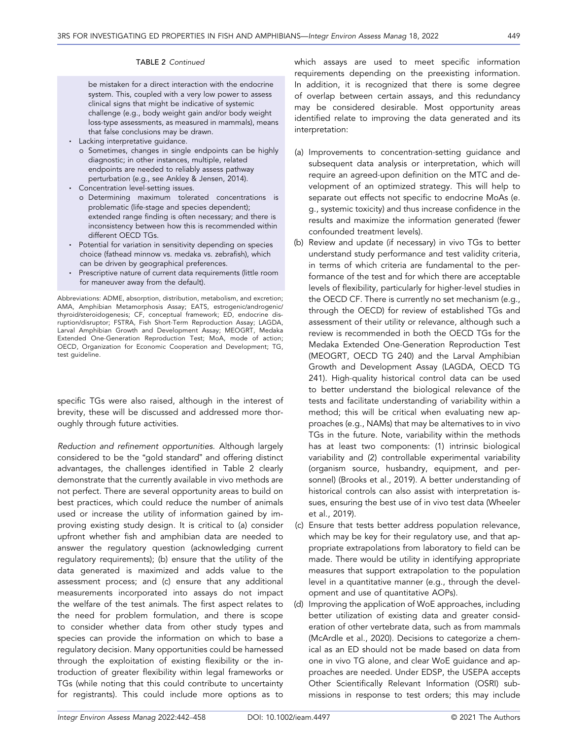be mistaken for a direct interaction with the endocrine system. This, coupled with a very low power to assess clinical signs that might be indicative of systemic challenge (e.g., body weight gain and/or body weight loss-type assessments, as measured in mammals), means that false conclusions may be drawn.

- Lacking interpretative guidance.
- o Sometimes, changes in single endpoints can be highly diagnostic; in other instances, multiple, related endpoints are needed to reliably assess pathway perturbation (e.g., see Ankley & Jensen, 2014).
- Concentration level-setting issues.
	- o Determining maximum tolerated concentrations is problematic (life‐stage and species dependent); extended range finding is often necessary; and there is inconsistency between how this is recommended within different OECD TGs.
- Potential for variation in sensitivity depending on species choice (fathead minnow vs. medaka vs. zebrafish), which can be driven by geographical preferences.
- Prescriptive nature of current data requirements (little room for maneuver away from the default).

Abbreviations: ADME, absorption, distribution, metabolism, and excretion; AMA, Amphibian Metamorphosis Assay; EATS, estrogenic/androgenic/ thyroid/steroidogenesis; CF, conceptual framework; ED, endocrine disruption/disruptor; FSTRA, Fish Short‐Term Reproduction Assay; LAGDA, Larval Amphibian Growth and Development Assay; MEOGRT, Medaka Extended One‐Generation Reproduction Test; MoA, mode of action; OECD, Organization for Economic Cooperation and Development; TG, test guideline.

specific TGs were also raised, although in the interest of brevity, these will be discussed and addressed more thoroughly through future activities.

Reduction and refinement opportunities. Although largely considered to be the "gold standard" and offering distinct advantages, the challenges identified in Table 2 clearly demonstrate that the currently available in vivo methods are not perfect. There are several opportunity areas to build on best practices, which could reduce the number of animals used or increase the utility of information gained by improving existing study design. It is critical to (a) consider upfront whether fish and amphibian data are needed to answer the regulatory question (acknowledging current regulatory requirements); (b) ensure that the utility of the data generated is maximized and adds value to the assessment process; and (c) ensure that any additional measurements incorporated into assays do not impact the welfare of the test animals. The first aspect relates to the need for problem formulation, and there is scope to consider whether data from other study types and species can provide the information on which to base a regulatory decision. Many opportunities could be harnessed through the exploitation of existing flexibility or the introduction of greater flexibility within legal frameworks or TGs (while noting that this could contribute to uncertainty for registrants). This could include more options as to

which assays are used to meet specific information requirements depending on the preexisting information. In addition, it is recognized that there is some degree of overlap between certain assays, and this redundancy may be considered desirable. Most opportunity areas identified relate to improving the data generated and its interpretation:

- (a) Improvements to concentration‐setting guidance and subsequent data analysis or interpretation, which will require an agreed‐upon definition on the MTC and development of an optimized strategy. This will help to separate out effects not specific to endocrine MoAs (e. g., systemic toxicity) and thus increase confidence in the results and maximize the information generated (fewer confounded treatment levels).
- (b) Review and update (if necessary) in vivo TGs to better understand study performance and test validity criteria, in terms of which criteria are fundamental to the performance of the test and for which there are acceptable levels of flexibility, particularly for higher‐level studies in the OECD CF. There is currently no set mechanism (e.g., through the OECD) for review of established TGs and assessment of their utility or relevance, although such a review is recommended in both the OECD TGs for the Medaka Extended One‐Generation Reproduction Test (MEOGRT, OECD TG 240) and the Larval Amphibian Growth and Development Assay (LAGDA, OECD TG 241). High‐quality historical control data can be used to better understand the biological relevance of the tests and facilitate understanding of variability within a method; this will be critical when evaluating new approaches (e.g., NAMs) that may be alternatives to in vivo TGs in the future. Note, variability within the methods has at least two components: (1) intrinsic biological variability and (2) controllable experimental variability (organism source, husbandry, equipment, and personnel) (Brooks et al., 2019). A better understanding of historical controls can also assist with interpretation issues, ensuring the best use of in vivo test data (Wheeler et al., 2019).
- (c) Ensure that tests better address population relevance, which may be key for their regulatory use, and that appropriate extrapolations from laboratory to field can be made. There would be utility in identifying appropriate measures that support extrapolation to the population level in a quantitative manner (e.g., through the development and use of quantitative AOPs).
- (d) Improving the application of WoE approaches, including better utilization of existing data and greater consideration of other vertebrate data, such as from mammals (McArdle et al., 2020). Decisions to categorize a chemical as an ED should not be made based on data from one in vivo TG alone, and clear WoE guidance and approaches are needed. Under EDSP, the USEPA accepts Other Scientifically Relevant Information (OSRI) submissions in response to test orders; this may include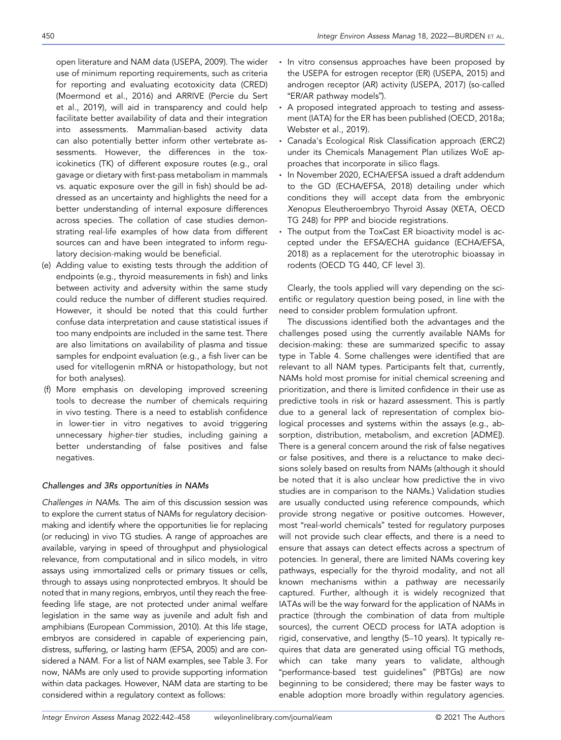open literature and NAM data (USEPA, 2009). The wider use of minimum reporting requirements, such as criteria for reporting and evaluating ecotoxicity data (CRED) (Moermond et al., 2016) and ARRIVE (Percie du Sert et al., 2019), will aid in transparency and could help facilitate better availability of data and their integration into assessments. Mammalian‐based activity data can also potentially better inform other vertebrate assessments. However, the differences in the toxicokinetics (TK) of different exposure routes (e.g., oral gavage or dietary with first‐pass metabolism in mammals vs. aquatic exposure over the gill in fish) should be addressed as an uncertainty and highlights the need for a better understanding of internal exposure differences across species. The collation of case studies demonstrating real‐life examples of how data from different sources can and have been integrated to inform regulatory decision‐making would be beneficial.

- (e) Adding value to existing tests through the addition of endpoints (e.g., thyroid measurements in fish) and links between activity and adversity within the same study could reduce the number of different studies required. However, it should be noted that this could further confuse data interpretation and cause statistical issues if too many endpoints are included in the same test. There are also limitations on availability of plasma and tissue samples for endpoint evaluation (e.g., a fish liver can be used for vitellogenin mRNA or histopathology, but not for both analyses).
- (f) More emphasis on developing improved screening tools to decrease the number of chemicals requiring in vivo testing. There is a need to establish confidence in lower‐tier in vitro negatives to avoid triggering unnecessary higher‐tier studies, including gaining a better understanding of false positives and false negatives.

# Challenges and 3Rs opportunities in NAMs

Challenges in NAMs. The aim of this discussion session was to explore the current status of NAMs for regulatory decision‐ making and identify where the opportunities lie for replacing (or reducing) in vivo TG studies. A range of approaches are available, varying in speed of throughput and physiological relevance, from computational and in silico models, in vitro assays using immortalized cells or primary tissues or cells, through to assays using nonprotected embryos. It should be noted that in many regions, embryos, until they reach the free‐ feeding life stage, are not protected under animal welfare legislation in the same way as juvenile and adult fish and amphibians (European Commission, 2010). At this life stage, embryos are considered in capable of experiencing pain, distress, suffering, or lasting harm (EFSA, 2005) and are considered a NAM. For a list of NAM examples, see Table 3. For now, NAMs are only used to provide supporting information within data packages. However, NAM data are starting to be considered within a regulatory context as follows:

- In vitro consensus approaches have been proposed by the USEPA for estrogen receptor (ER) (USEPA, 2015) and androgen receptor (AR) activity (USEPA, 2017) (so‐called "ER/AR pathway models").
- A proposed integrated approach to testing and assessment (IATA) for the ER has been published (OECD, 2018a; Webster et al., 2019).
- Canada's Ecological Risk Classification approach (ERC2) under its Chemicals Management Plan utilizes WoE approaches that incorporate in silico flags.
- In November 2020, ECHA/EFSA issued a draft addendum to the GD (ECHA/EFSA, 2018) detailing under which conditions they will accept data from the embryonic Xenopus Eleutheroembryo Thyroid Assay (XETA, OECD TG 248) for PPP and biocide registrations.
- The output from the ToxCast ER bioactivity model is accepted under the EFSA/ECHA guidance (ECHA/EFSA, 2018) as a replacement for the uterotrophic bioassay in rodents (OECD TG 440, CF level 3).

Clearly, the tools applied will vary depending on the scientific or regulatory question being posed, in line with the need to consider problem formulation upfront.

The discussions identified both the advantages and the challenges posed using the currently available NAMs for decision‐making: these are summarized specific to assay type in Table 4. Some challenges were identified that are relevant to all NAM types. Participants felt that, currently, NAMs hold most promise for initial chemical screening and prioritization, and there is limited confidence in their use as predictive tools in risk or hazard assessment. This is partly due to a general lack of representation of complex biological processes and systems within the assays (e.g., absorption, distribution, metabolism, and excretion [ADME]). There is a general concern around the risk of false negatives or false positives, and there is a reluctance to make decisions solely based on results from NAMs (although it should be noted that it is also unclear how predictive the in vivo studies are in comparison to the NAMs.) Validation studies are usually conducted using reference compounds, which provide strong negative or positive outcomes. However, most "real‐world chemicals" tested for regulatory purposes will not provide such clear effects, and there is a need to ensure that assays can detect effects across a spectrum of potencies. In general, there are limited NAMs covering key pathways, especially for the thyroid modality, and not all known mechanisms within a pathway are necessarily captured. Further, although it is widely recognized that IATAs will be the way forward for the application of NAMs in practice (through the combination of data from multiple sources), the current OECD process for IATA adoption is rigid, conservative, and lengthy (5–10 years). It typically requires that data are generated using official TG methods, which can take many years to validate, although "performance‐based test guidelines" (PBTGs) are now beginning to be considered; there may be faster ways to enable adoption more broadly within regulatory agencies.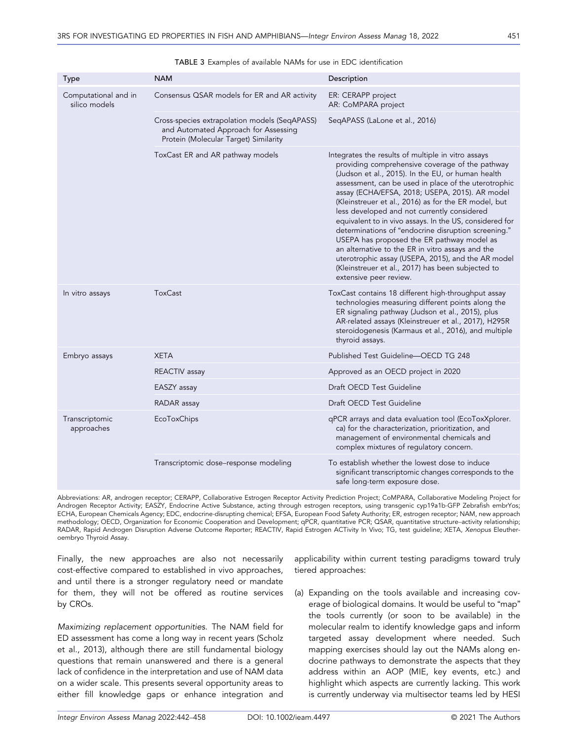| Type                                  | <b>NAM</b>                                                                                                                     | Description                                                                                                                                                                                                                                                                                                                                                                                                                                                                                                                                                                                                                                                                                                                          |
|---------------------------------------|--------------------------------------------------------------------------------------------------------------------------------|--------------------------------------------------------------------------------------------------------------------------------------------------------------------------------------------------------------------------------------------------------------------------------------------------------------------------------------------------------------------------------------------------------------------------------------------------------------------------------------------------------------------------------------------------------------------------------------------------------------------------------------------------------------------------------------------------------------------------------------|
| Computational and in<br>silico models | Consensus QSAR models for ER and AR activity                                                                                   | ER: CERAPP project<br>AR: CoMPARA project                                                                                                                                                                                                                                                                                                                                                                                                                                                                                                                                                                                                                                                                                            |
|                                       | Cross-species extrapolation models (SeqAPASS)<br>and Automated Approach for Assessing<br>Protein (Molecular Target) Similarity | SeqAPASS (LaLone et al., 2016)                                                                                                                                                                                                                                                                                                                                                                                                                                                                                                                                                                                                                                                                                                       |
|                                       | ToxCast ER and AR pathway models                                                                                               | Integrates the results of multiple in vitro assays<br>providing comprehensive coverage of the pathway<br>(Judson et al., 2015). In the EU, or human health<br>assessment, can be used in place of the uterotrophic<br>assay (ECHA/EFSA, 2018; USEPA, 2015). AR model<br>(Kleinstreuer et al., 2016) as for the ER model, but<br>less developed and not currently considered<br>equivalent to in vivo assays. In the US, considered for<br>determinations of "endocrine disruption screening."<br>USEPA has proposed the ER pathway model as<br>an alternative to the ER in vitro assays and the<br>uterotrophic assay (USEPA, 2015), and the AR model<br>(Kleinstreuer et al., 2017) has been subjected to<br>extensive peer review. |
| In vitro assays                       | <b>ToxCast</b>                                                                                                                 | ToxCast contains 18 different high-throughput assay<br>technologies measuring different points along the<br>ER signaling pathway (Judson et al., 2015), plus<br>AR-related assays (Kleinstreuer et al., 2017), H295R<br>steroidogenesis (Karmaus et al., 2016), and multiple<br>thyroid assays.                                                                                                                                                                                                                                                                                                                                                                                                                                      |
| Embryo assays                         | <b>XETA</b>                                                                                                                    | Published Test Guideline-OECD TG 248                                                                                                                                                                                                                                                                                                                                                                                                                                                                                                                                                                                                                                                                                                 |
|                                       | REACTIV assay                                                                                                                  | Approved as an OECD project in 2020                                                                                                                                                                                                                                                                                                                                                                                                                                                                                                                                                                                                                                                                                                  |
|                                       | EASZY assay                                                                                                                    | Draft OECD Test Guideline                                                                                                                                                                                                                                                                                                                                                                                                                                                                                                                                                                                                                                                                                                            |
|                                       | RADAR assay                                                                                                                    | Draft OECD Test Guideline                                                                                                                                                                                                                                                                                                                                                                                                                                                                                                                                                                                                                                                                                                            |
| Transcriptomic<br>approaches          | <b>EcoToxChips</b>                                                                                                             | qPCR arrays and data evaluation tool (EcoToxXplorer.<br>ca) for the characterization, prioritization, and<br>management of environmental chemicals and<br>complex mixtures of regulatory concern.                                                                                                                                                                                                                                                                                                                                                                                                                                                                                                                                    |
|                                       | Transcriptomic dose-response modeling                                                                                          | To establish whether the lowest dose to induce<br>significant transcriptomic changes corresponds to the<br>safe long-term exposure dose.                                                                                                                                                                                                                                                                                                                                                                                                                                                                                                                                                                                             |

#### TABLE 3 Examples of available NAMs for use in EDC identification

Abbreviations: AR, androgen receptor; CERAPP, Collaborative Estrogen Receptor Activity Prediction Project; CoMPARA, Collaborative Modeling Project for Androgen Receptor Activity; EASZY, Endocrine Active Substance, acting through estrogen receptors, using transgenic cyp19a1b‐GFP Zebrafish embrYos; ECHA, European Chemicals Agency; EDC, endocrine‐disrupting chemical; EFSA, European Food Safety Authority; ER, estrogen receptor; NAM, new approach methodology; OECD, Organization for Economic Cooperation and Development; qPCR, quantitative PCR; QSAR, quantitative structure–activity relationship; RADAR, Rapid Androgen Disruption Adverse Outcome Reporter; REACTIV, Rapid Estrogen ACTivity In Vivo; TG, test guideline; XETA, Xenopus Eleutheroembryo Thyroid Assay.

Finally, the new approaches are also not necessarily cost‐effective compared to established in vivo approaches, and until there is a stronger regulatory need or mandate for them, they will not be offered as routine services by CROs.

Maximizing replacement opportunities. The NAM field for ED assessment has come a long way in recent years (Scholz et al., 2013), although there are still fundamental biology questions that remain unanswered and there is a general lack of confidence in the interpretation and use of NAM data on a wider scale. This presents several opportunity areas to either fill knowledge gaps or enhance integration and

applicability within current testing paradigms toward truly tiered approaches:

(a) Expanding on the tools available and increasing coverage of biological domains. It would be useful to "map" the tools currently (or soon to be available) in the molecular realm to identify knowledge gaps and inform targeted assay development where needed. Such mapping exercises should lay out the NAMs along endocrine pathways to demonstrate the aspects that they address within an AOP (MIE, key events, etc.) and highlight which aspects are currently lacking. This work is currently underway via multisector teams led by HESI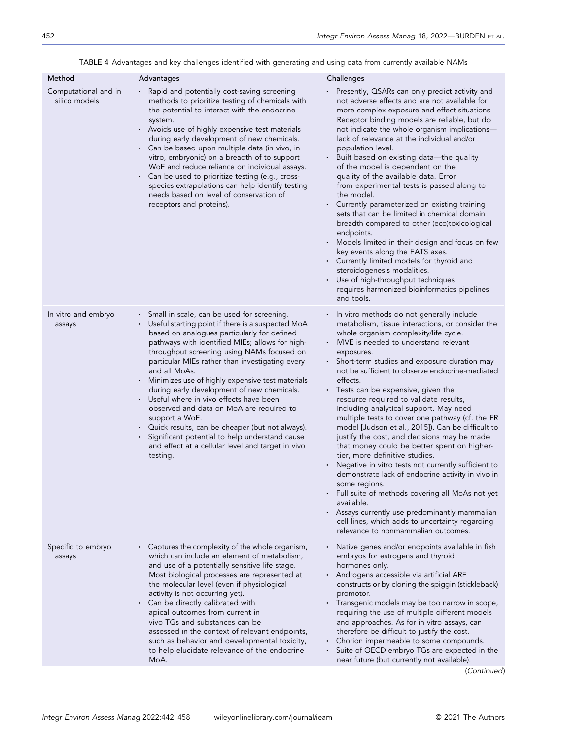|  | TABLE 4 Advantages and key challenges identified with generating and using data from currently available NAMs |  |
|--|---------------------------------------------------------------------------------------------------------------|--|
|  |                                                                                                               |  |

| Method                                | Advantages                                                                                                                                                                                                                                                                                                                                                                                                                                                                                                                                                                                                                                                                                                         | Challenges                                                                                                                                                                                                                                                                                                                                                                                                                                                                                                                                                                                                                                                                                                                                                                                                                                                                                                                                                                                                                   |
|---------------------------------------|--------------------------------------------------------------------------------------------------------------------------------------------------------------------------------------------------------------------------------------------------------------------------------------------------------------------------------------------------------------------------------------------------------------------------------------------------------------------------------------------------------------------------------------------------------------------------------------------------------------------------------------------------------------------------------------------------------------------|------------------------------------------------------------------------------------------------------------------------------------------------------------------------------------------------------------------------------------------------------------------------------------------------------------------------------------------------------------------------------------------------------------------------------------------------------------------------------------------------------------------------------------------------------------------------------------------------------------------------------------------------------------------------------------------------------------------------------------------------------------------------------------------------------------------------------------------------------------------------------------------------------------------------------------------------------------------------------------------------------------------------------|
| Computational and in<br>silico models | Rapid and potentially cost-saving screening<br>methods to prioritize testing of chemicals with<br>the potential to interact with the endocrine<br>system.<br>Avoids use of highly expensive test materials<br>during early development of new chemicals.<br>Can be based upon multiple data (in vivo, in<br>٠<br>vitro, embryonic) on a breadth of to support<br>WoE and reduce reliance on individual assays.<br>Can be used to prioritize testing (e.g., cross-<br>٠<br>species extrapolations can help identify testing<br>needs based on level of conservation of<br>receptors and proteins).                                                                                                                  | Presently, QSARs can only predict activity and<br>not adverse effects and are not available for<br>more complex exposure and effect situations.<br>Receptor binding models are reliable, but do<br>not indicate the whole organism implications-<br>lack of relevance at the individual and/or<br>population level.<br>Built based on existing data—the quality<br>of the model is dependent on the<br>quality of the available data. Error<br>from experimental tests is passed along to<br>the model.<br>Currently parameterized on existing training<br>sets that can be limited in chemical domain<br>breadth compared to other (eco)toxicological<br>endpoints.<br>Models limited in their design and focus on few<br>key events along the EATS axes.<br>Currently limited models for thyroid and<br>steroidogenesis modalities.<br>Use of high-throughput techniques<br>requires harmonized bioinformatics pipelines<br>and tools.                                                                                     |
| In vitro and embryo<br>assays         | Small in scale, can be used for screening.<br>٠<br>Useful starting point if there is a suspected MoA<br>based on analogues particularly for defined<br>pathways with identified MIEs; allows for high-<br>throughput screening using NAMs focused on<br>particular MIEs rather than investigating every<br>and all MoAs.<br>Minimizes use of highly expensive test materials<br>٠<br>during early development of new chemicals.<br>Useful where in vivo effects have been<br>٠<br>observed and data on MoA are required to<br>support a WoE.<br>Quick results, can be cheaper (but not always).<br>Significant potential to help understand cause<br>and effect at a cellular level and target in vivo<br>testing. | In vitro methods do not generally include<br>metabolism, tissue interactions, or consider the<br>whole organism complexity/life cycle.<br>• IVIVE is needed to understand relevant<br>exposures.<br>Short-term studies and exposure duration may<br>not be sufficient to observe endocrine-mediated<br>effects.<br>• Tests can be expensive, given the<br>resource required to validate results,<br>including analytical support. May need<br>multiple tests to cover one pathway (cf. the ER<br>model [Judson et al., 2015]). Can be difficult to<br>justify the cost, and decisions may be made<br>that money could be better spent on higher-<br>tier, more definitive studies.<br>Negative in vitro tests not currently sufficient to<br>demonstrate lack of endocrine activity in vivo in<br>some regions.<br>Full suite of methods covering all MoAs not yet<br>available.<br>• Assays currently use predominantly mammalian<br>cell lines, which adds to uncertainty regarding<br>relevance to nonmammalian outcomes. |
| Specific to embryo<br>assays          | Captures the complexity of the whole organism,<br>$\blacksquare$<br>which can include an element of metabolism,<br>and use of a potentially sensitive life stage.<br>Most biological processes are represented at<br>the molecular level (even if physiological<br>activity is not occurring yet).<br>Can be directly calibrated with<br>٠<br>apical outcomes from current in<br>vivo TGs and substances can be<br>assessed in the context of relevant endpoints,<br>such as behavior and developmental toxicity,<br>to help elucidate relevance of the endocrine<br>MoA.                                                                                                                                          | Native genes and/or endpoints available in fish<br>embryos for estrogens and thyroid<br>hormones only.<br>· Androgens accessible via artificial ARE<br>constructs or by cloning the spiggin (stickleback)<br>promotor.<br>• Transgenic models may be too narrow in scope,<br>requiring the use of multiple different models<br>and approaches. As for in vitro assays, can<br>therefore be difficult to justify the cost.<br>Chorion impermeable to some compounds.<br>Suite of OECD embryo TGs are expected in the<br>near future (but currently not available).<br>(Continued)                                                                                                                                                                                                                                                                                                                                                                                                                                             |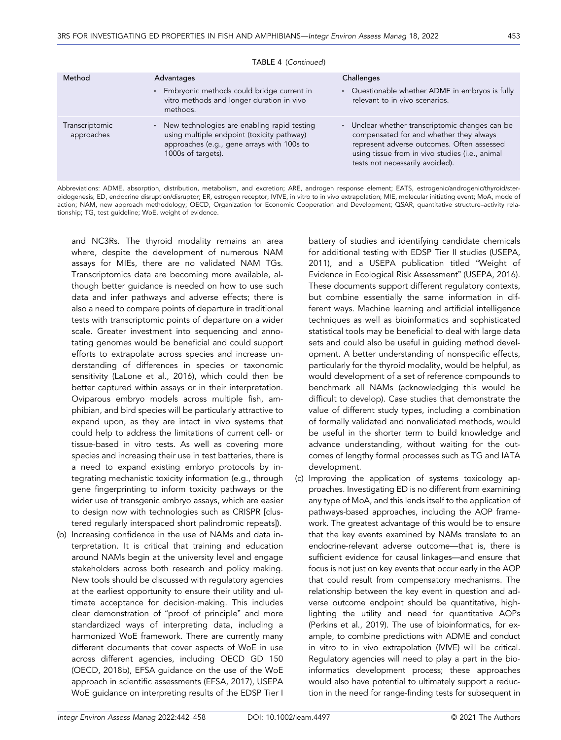| Method                       | Advantages                                                                                                                                                      | Challenges                                                                                                                                                                                                                                     |
|------------------------------|-----------------------------------------------------------------------------------------------------------------------------------------------------------------|------------------------------------------------------------------------------------------------------------------------------------------------------------------------------------------------------------------------------------------------|
|                              | • Embryonic methods could bridge current in<br>vitro methods and longer duration in vivo<br>methods.                                                            | Questionable whether ADME in embryos is fully<br>relevant to in vivo scenarios.                                                                                                                                                                |
| Transcriptomic<br>approaches | • New technologies are enabling rapid testing<br>using multiple endpoint (toxicity pathway)<br>approaches (e.g., gene arrays with 100s to<br>1000s of targets). | Unclear whether transcriptomic changes can be<br>$\blacksquare$<br>compensated for and whether they always<br>represent adverse outcomes. Often assessed<br>using tissue from in vivo studies (i.e., animal<br>tests not necessarily avoided). |

TABLE 4 (Continued)

Abbreviations: ADME, absorption, distribution, metabolism, and excretion; ARE, androgen response element; EATS, estrogenic/androgenic/thyroid/steroidogenesis; ED, endocrine disruption/disruptor; ER, estrogen receptor; IVIVE, in vitro to in vivo extrapolation; MIE, molecular initiating event; MoA, mode of action; NAM, new approach methodology; OECD, Organization for Economic Cooperation and Development; QSAR, quantitative structure–activity relationship; TG, test guideline; WoE, weight of evidence.

and NC3Rs. The thyroid modality remains an area where, despite the development of numerous NAM assays for MIEs, there are no validated NAM TGs. Transcriptomics data are becoming more available, although better guidance is needed on how to use such data and infer pathways and adverse effects; there is also a need to compare points of departure in traditional tests with transcriptomic points of departure on a wider scale. Greater investment into sequencing and annotating genomes would be beneficial and could support efforts to extrapolate across species and increase understanding of differences in species or taxonomic sensitivity (LaLone et al., 2016), which could then be better captured within assays or in their interpretation. Oviparous embryo models across multiple fish, amphibian, and bird species will be particularly attractive to expand upon, as they are intact in vivo systems that could help to address the limitations of current cell‐ or tissue‐based in vitro tests. As well as covering more species and increasing their use in test batteries, there is a need to expand existing embryo protocols by integrating mechanistic toxicity information (e.g., through gene fingerprinting to inform toxicity pathways or the wider use of transgenic embryo assays, which are easier to design now with technologies such as CRISPR [clustered regularly interspaced short palindromic repeats]).

(b) Increasing confidence in the use of NAMs and data interpretation. It is critical that training and education around NAMs begin at the university level and engage stakeholders across both research and policy making. New tools should be discussed with regulatory agencies at the earliest opportunity to ensure their utility and ultimate acceptance for decision‐making. This includes clear demonstration of "proof of principle" and more standardized ways of interpreting data, including a harmonized WoE framework. There are currently many different documents that cover aspects of WoE in use across different agencies, including OECD GD 150 (OECD, 2018b), EFSA guidance on the use of the WoE approach in scientific assessments (EFSA, 2017), USEPA WoE guidance on interpreting results of the EDSP Tier I

battery of studies and identifying candidate chemicals for additional testing with EDSP Tier II studies (USEPA, 2011), and a USEPA publication titled "Weight of Evidence in Ecological Risk Assessment" (USEPA, 2016). These documents support different regulatory contexts, but combine essentially the same information in different ways. Machine learning and artificial intelligence techniques as well as bioinformatics and sophisticated statistical tools may be beneficial to deal with large data sets and could also be useful in guiding method development. A better understanding of nonspecific effects, particularly for the thyroid modality, would be helpful, as would development of a set of reference compounds to benchmark all NAMs (acknowledging this would be difficult to develop). Case studies that demonstrate the value of different study types, including a combination of formally validated and nonvalidated methods, would be useful in the shorter term to build knowledge and advance understanding, without waiting for the outcomes of lengthy formal processes such as TG and IATA development.

(c) Improving the application of systems toxicology approaches. Investigating ED is no different from examining any type of MoA, and this lends itself to the application of pathways‐based approaches, including the AOP framework. The greatest advantage of this would be to ensure that the key events examined by NAMs translate to an endocrine‐relevant adverse outcome—that is, there is sufficient evidence for causal linkages—and ensure that focus is not just on key events that occur early in the AOP that could result from compensatory mechanisms. The relationship between the key event in question and adverse outcome endpoint should be quantitative, highlighting the utility and need for quantitative AOPs (Perkins et al., 2019). The use of bioinformatics, for example, to combine predictions with ADME and conduct in vitro to in vivo extrapolation (IVIVE) will be critical. Regulatory agencies will need to play a part in the bioinformatics development process; these approaches would also have potential to ultimately support a reduction in the need for range‐finding tests for subsequent in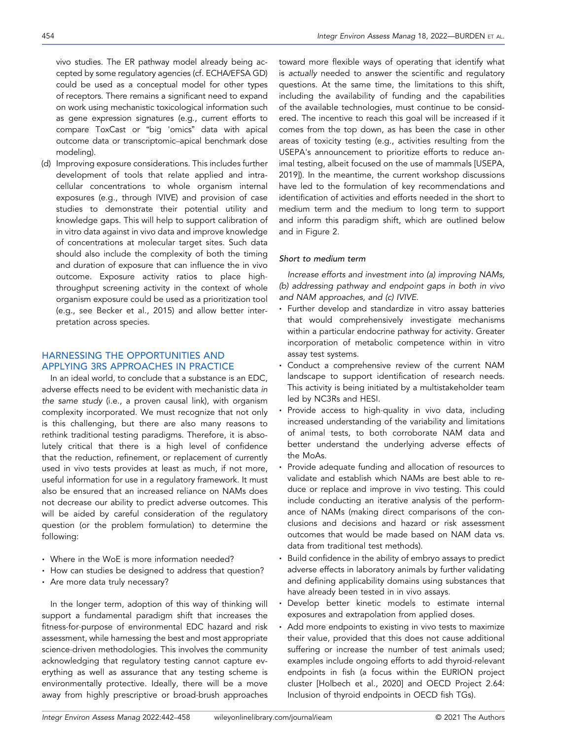vivo studies. The ER pathway model already being accepted by some regulatory agencies (cf. ECHA/EFSA GD) could be used as a conceptual model for other types of receptors. There remains a significant need to expand on work using mechanistic toxicological information such as gene expression signatures (e.g., current efforts to compare ToxCast or "big 'omics" data with apical outcome data or transcriptomic–apical benchmark dose modeling).

(d) Improving exposure considerations. This includes further development of tools that relate applied and intracellular concentrations to whole organism internal exposures (e.g., through IVIVE) and provision of case studies to demonstrate their potential utility and knowledge gaps. This will help to support calibration of in vitro data against in vivo data and improve knowledge of concentrations at molecular target sites. Such data should also include the complexity of both the timing and duration of exposure that can influence the in vivo outcome. Exposure activity ratios to place high‐ throughput screening activity in the context of whole organism exposure could be used as a prioritization tool (e.g., see Becker et al., 2015) and allow better interpretation across species.

# HARNESSING THE OPPORTUNITIES AND APPLYING 3RS APPROACHES IN PRACTICE

In an ideal world, to conclude that a substance is an EDC, adverse effects need to be evident with mechanistic data in the same study (i.e., a proven causal link), with organism complexity incorporated. We must recognize that not only is this challenging, but there are also many reasons to rethink traditional testing paradigms. Therefore, it is absolutely critical that there is a high level of confidence that the reduction, refinement, or replacement of currently used in vivo tests provides at least as much, if not more, useful information for use in a regulatory framework. It must also be ensured that an increased reliance on NAMs does not decrease our ability to predict adverse outcomes. This will be aided by careful consideration of the regulatory question (or the problem formulation) to determine the following:

- Where in the WoE is more information needed?
- How can studies be designed to address that question?
- Are more data truly necessary?

In the longer term, adoption of this way of thinking will support a fundamental paradigm shift that increases the fitness‐for‐purpose of environmental EDC hazard and risk assessment, while harnessing the best and most appropriate science-driven methodologies. This involves the community acknowledging that regulatory testing cannot capture everything as well as assurance that any testing scheme is environmentally protective. Ideally, there will be a move away from highly prescriptive or broad‐brush approaches toward more flexible ways of operating that identify what is actually needed to answer the scientific and regulatory questions. At the same time, the limitations to this shift, including the availability of funding and the capabilities of the available technologies, must continue to be considered. The incentive to reach this goal will be increased if it comes from the top down, as has been the case in other areas of toxicity testing (e.g., activities resulting from the USEPA's announcement to prioritize efforts to reduce animal testing, albeit focused on the use of mammals [USEPA, 2019]). In the meantime, the current workshop discussions have led to the formulation of key recommendations and identification of activities and efforts needed in the short to medium term and the medium to long term to support and inform this paradigm shift, which are outlined below and in Figure 2.

#### Short to medium term

Increase efforts and investment into (a) improving NAMs, (b) addressing pathway and endpoint gaps in both in vivo and NAM approaches, and (c) IVIVE.

- Further develop and standardize in vitro assay batteries that would comprehensively investigate mechanisms within a particular endocrine pathway for activity. Greater incorporation of metabolic competence within in vitro assay test systems.
- Conduct a comprehensive review of the current NAM landscape to support identification of research needs. This activity is being initiated by a multistakeholder team led by NC3Rs and HESI.
- Provide access to high-quality in vivo data, including increased understanding of the variability and limitations of animal tests, to both corroborate NAM data and better understand the underlying adverse effects of the MoAs.
- Provide adequate funding and allocation of resources to validate and establish which NAMs are best able to reduce or replace and improve in vivo testing. This could include conducting an iterative analysis of the performance of NAMs (making direct comparisons of the conclusions and decisions and hazard or risk assessment outcomes that would be made based on NAM data vs. data from traditional test methods).
- Build confidence in the ability of embryo assays to predict adverse effects in laboratory animals by further validating and defining applicability domains using substances that have already been tested in in vivo assays.
- Develop better kinetic models to estimate internal exposures and extrapolation from applied doses.
- Add more endpoints to existing in vivo tests to maximize their value, provided that this does not cause additional suffering or increase the number of test animals used; examples include ongoing efforts to add thyroid‐relevant endpoints in fish (a focus within the EURION project cluster [Holbech et al., 2020] and OECD Project 2.64: Inclusion of thyroid endpoints in OECD fish TGs).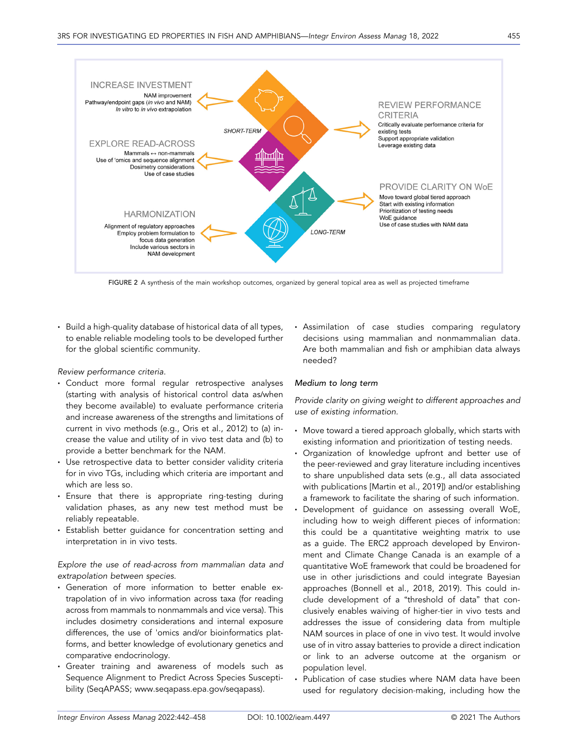

FIGURE 2 A synthesis of the main workshop outcomes, organized by general topical area as well as projected timeframe

■ Build a high-quality database of historical data of all types, to enable reliable modeling tools to be developed further for the global scientific community.

## Review performance criteria.

- Conduct more formal regular retrospective analyses (starting with analysis of historical control data as/when they become available) to evaluate performance criteria and increase awareness of the strengths and limitations of current in vivo methods (e.g., Oris et al., 2012) to (a) increase the value and utility of in vivo test data and (b) to provide a better benchmark for the NAM.
- · Use retrospective data to better consider validity criteria for in vivo TGs, including which criteria are important and which are less so.
- · Ensure that there is appropriate ring-testing during validation phases, as any new test method must be reliably repeatable.
- **Establish better quidance for concentration setting and** interpretation in in vivo tests.

## Explore the use of read‐across from mammalian data and extrapolation between species.

- Generation of more information to better enable extrapolation of in vivo information across taxa (for reading across from mammals to nonmammals and vice versa). This includes dosimetry considerations and internal exposure differences, the use of 'omics and/or bioinformatics platforms, and better knowledge of evolutionary genetics and comparative endocrinology.
- Greater training and awareness of models such as Sequence Alignment to Predict Across Species Susceptibility (SeqAPASS; [www.seqapass.epa.gov](http://www.seqapass.epa.gov/seqapass)/seqapass).

• Assimilation of case studies comparing regulatory decisions using mammalian and nonmammalian data. Are both mammalian and fish or amphibian data always needed?

## Medium to long term

Provide clarity on giving weight to different approaches and use of existing information.

- Move toward a tiered approach globally, which starts with existing information and prioritization of testing needs.
- Organization of knowledge upfront and better use of the peer‐reviewed and gray literature including incentives to share unpublished data sets (e.g., all data associated with publications [Martin et al., 2019]) and/or establishing a framework to facilitate the sharing of such information.
- Development of guidance on assessing overall WoE, including how to weigh different pieces of information: this could be a quantitative weighting matrix to use as a guide. The ERC2 approach developed by Environment and Climate Change Canada is an example of a quantitative WoE framework that could be broadened for use in other jurisdictions and could integrate Bayesian approaches (Bonnell et al., 2018, 2019). This could include development of a "threshold of data" that conclusively enables waiving of higher‐tier in vivo tests and addresses the issue of considering data from multiple NAM sources in place of one in vivo test. It would involve use of in vitro assay batteries to provide a direct indication or link to an adverse outcome at the organism or population level.
- Publication of case studies where NAM data have been used for regulatory decision‐making, including how the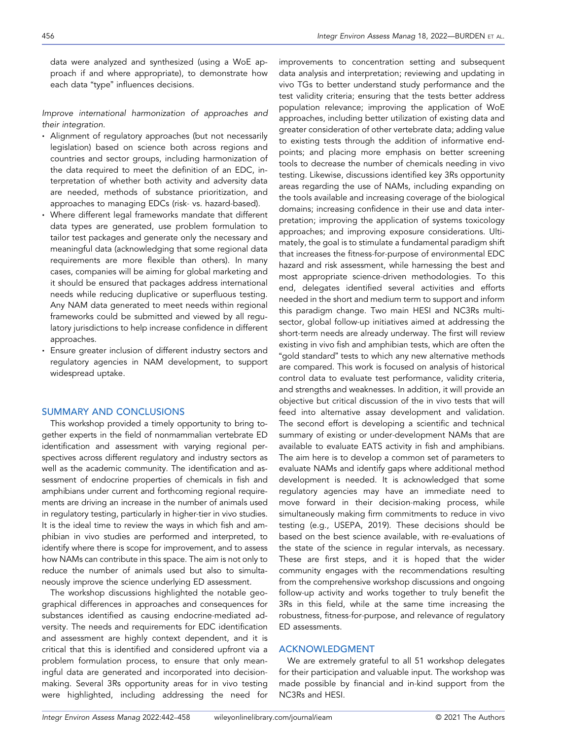data were analyzed and synthesized (using a WoE approach if and where appropriate), to demonstrate how each data "type" influences decisions.

Improve international harmonization of approaches and their integration.

- Alignment of regulatory approaches (but not necessarily legislation) based on science both across regions and countries and sector groups, including harmonization of the data required to meet the definition of an EDC, interpretation of whether both activity and adversity data are needed, methods of substance prioritization, and approaches to managing EDCs (risk‐ vs. hazard‐based).
- Where different legal frameworks mandate that different data types are generated, use problem formulation to tailor test packages and generate only the necessary and meaningful data (acknowledging that some regional data requirements are more flexible than others). In many cases, companies will be aiming for global marketing and it should be ensured that packages address international needs while reducing duplicative or superfluous testing. Any NAM data generated to meet needs within regional frameworks could be submitted and viewed by all regulatory jurisdictions to help increase confidence in different approaches.
- Ensure greater inclusion of different industry sectors and regulatory agencies in NAM development, to support widespread uptake.

## SUMMARY AND CONCLUSIONS

This workshop provided a timely opportunity to bring together experts in the field of nonmammalian vertebrate ED identification and assessment with varying regional perspectives across different regulatory and industry sectors as well as the academic community. The identification and assessment of endocrine properties of chemicals in fish and amphibians under current and forthcoming regional requirements are driving an increase in the number of animals used in regulatory testing, particularly in higher‐tier in vivo studies. It is the ideal time to review the ways in which fish and amphibian in vivo studies are performed and interpreted, to identify where there is scope for improvement, and to assess how NAMs can contribute in this space. The aim is not only to reduce the number of animals used but also to simultaneously improve the science underlying ED assessment.

The workshop discussions highlighted the notable geographical differences in approaches and consequences for substances identified as causing endocrine‐mediated adversity. The needs and requirements for EDC identification and assessment are highly context dependent, and it is critical that this is identified and considered upfront via a problem formulation process, to ensure that only meaningful data are generated and incorporated into decision‐ making. Several 3Rs opportunity areas for in vivo testing were highlighted, including addressing the need for

improvements to concentration setting and subsequent data analysis and interpretation; reviewing and updating in vivo TGs to better understand study performance and the test validity criteria; ensuring that the tests better address population relevance; improving the application of WoE approaches, including better utilization of existing data and greater consideration of other vertebrate data; adding value to existing tests through the addition of informative endpoints; and placing more emphasis on better screening tools to decrease the number of chemicals needing in vivo testing. Likewise, discussions identified key 3Rs opportunity areas regarding the use of NAMs, including expanding on the tools available and increasing coverage of the biological domains; increasing confidence in their use and data interpretation; improving the application of systems toxicology approaches; and improving exposure considerations. Ultimately, the goal is to stimulate a fundamental paradigm shift that increases the fitness‐for‐purpose of environmental EDC hazard and risk assessment, while harnessing the best and most appropriate science‐driven methodologies. To this end, delegates identified several activities and efforts needed in the short and medium term to support and inform this paradigm change. Two main HESI and NC3Rs multisector, global follow-up initiatives aimed at addressing the short-term needs are already underway. The first will review existing in vivo fish and amphibian tests, which are often the "gold standard" tests to which any new alternative methods are compared. This work is focused on analysis of historical control data to evaluate test performance, validity criteria, and strengths and weaknesses. In addition, it will provide an objective but critical discussion of the in vivo tests that will feed into alternative assay development and validation. The second effort is developing a scientific and technical summary of existing or under‐development NAMs that are available to evaluate EATS activity in fish and amphibians. The aim here is to develop a common set of parameters to evaluate NAMs and identify gaps where additional method development is needed. It is acknowledged that some regulatory agencies may have an immediate need to move forward in their decision‐making process, while simultaneously making firm commitments to reduce in vivo testing (e.g., USEPA, 2019). These decisions should be based on the best science available, with re‐evaluations of the state of the science in regular intervals, as necessary. These are first steps, and it is hoped that the wider community engages with the recommendations resulting from the comprehensive workshop discussions and ongoing follow‐up activity and works together to truly benefit the 3Rs in this field, while at the same time increasing the robustness, fitness‐for‐purpose, and relevance of regulatory ED assessments.

## ACKNOWLEDGMENT

We are extremely grateful to all 51 workshop delegates for their participation and valuable input. The workshop was made possible by financial and in‐kind support from the NC3Rs and HESI.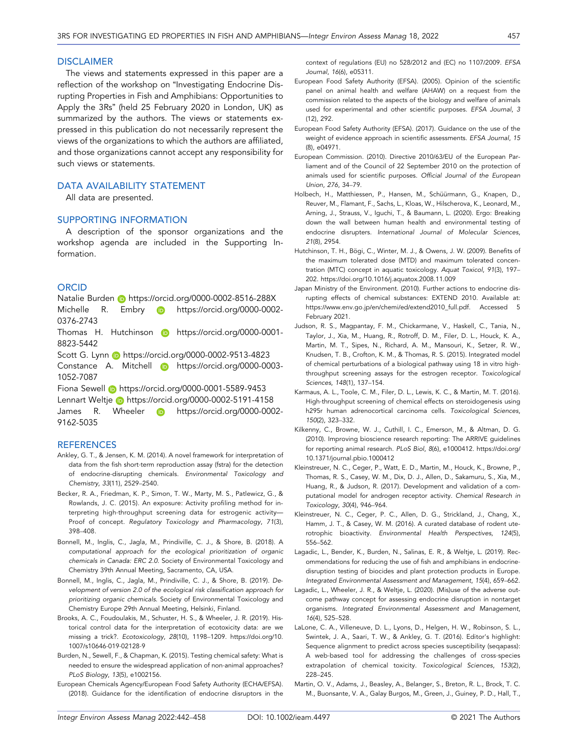#### **DISCLAIMER**

The views and statements expressed in this paper are a reflection of the workshop on "Investigating Endocrine Disrupting Properties in Fish and Amphibians: Opportunities to Apply the 3Rs" (held 25 February 2020 in London, UK) as summarized by the authors. The views or statements expressed in this publication do not necessarily represent the views of the organizations to which the authors are affiliated, and those organizations cannot accept any responsibility for such views or statements.

### DATA AVAILABILITY STATEMENT

All data are presented.

## SUPPORTING INFORMATION

A description of the sponsor organizations and the workshop agenda are included in the Supporting Information.

#### **ORCID**

Natalie Burden **b** https://[orcid.org](https://orcid.org/0000-0002-8516-288X)/0000-0002-8516-288X Michelle R. Embry **iD** https://[orcid.org](https://orcid.org/0000-0002-0376-2743)/0000-0002-0376-[2743](https://orcid.org/0000-0002-0376-2743)

Thomas H. Hutchinson in https://[orcid.org](https://orcid.org/0000-0001-8823-5442)/0000-0001-8823-[5442](https://orcid.org/0000-0001-8823-5442)

Scott G. Lynn **b** https://[orcid.org](https://orcid.org/0000-0002-9513-4823)/0000-0002-9513-4823

Constance A. Mitchell in https://[orcid.org](https://orcid.org/0000-0003-1052-7087)/0000-0003-1052-[7087](https://orcid.org/0000-0003-1052-7087)

Fiona Sewell (D https://[orcid.org](https://orcid.org/0000-0001-5589-9453)/0000-0001-5589-9453 Lennart Weltje https://[orcid.org](https://orcid.org/0000-0002-5191-4158)/0000-0002-5191-4158 James R. Wheeler **D** https://[orcid.org](https://orcid.org/0000-0002-9162-5035)/0000-0002-9162-[5035](https://orcid.org/0000-0002-9162-5035)

#### **REFERENCES**

- Ankley, G. T., & Jensen, K. M. (2014). A novel framework for interpretation of data from the fish short‐term reproduction assay (fstra) for the detection of endocrine‐disrupting chemicals. Environmental Toxicology and Chemistry, 33(11), 2529–2540.
- Becker, R. A., Friedman, K. P., Simon, T. W., Marty, M. S., Patlewicz, G., & Rowlands, J. C. (2015). An exposure: Activity profiling method for interpreting high‐throughput screening data for estrogenic activity— Proof of concept. Regulatory Toxicology and Pharmacology, 71(3), 398–408.
- Bonnell, M., Inglis, C., Jagla, M., Prindiville, C. J., & Shore, B. (2018). A computational approach for the ecological prioritization of organic chemicals in Canada: ERC 2.0. Society of Environmental Toxicology and Chemistry 39th Annual Meeting, Sacramento, CA, USA.
- Bonnell, M., Inglis, C., Jagla, M., Prindiville, C. J., & Shore, B. (2019). Development of version 2.0 of the ecological risk classification approach for prioritizing organic chemicals. Society of Environmental Toxicology and Chemistry Europe 29th Annual Meeting, Helsinki, Finland.
- Brooks, A. C., Foudoulakis, M., Schuster, H. S., & Wheeler, J. R. (2019). Historical control data for the interpretation of ecotoxicity data: are we missing a trick?. Ecotoxicology, 28(10), 1198–1209. https://[doi.org](https://doi.org/10.1007/s10646-019-02128-9)/10. 1007/[s10646](https://doi.org/10.1007/s10646-019-02128-9)‐019‐02128‐9
- Burden, N., Sewell, F., & Chapman, K. (2015). Testing chemical safety: What is needed to ensure the widespread application of non‐animal approaches? PLoS Biology, 13(5), e1002156.
- European Chemicals Agency/European Food Safety Authority (ECHA/EFSA). (2018). Guidance for the identification of endocrine disruptors in the

context of regulations (EU) no 528/2012 and (EC) no 1107/2009. EFSA Journal, 16(6), e05311.

- European Food Safety Authority (EFSA). (2005). Opinion of the scientific panel on animal health and welfare (AHAW) on a request from the commission related to the aspects of the biology and welfare of animals used for experimental and other scientific purposes. EFSA Journal, 3 (12), 292.
- European Food Safety Authority (EFSA). (2017). Guidance on the use of the weight of evidence approach in scientific assessments. EFSA Journal, 15 (8), e04971.
- European Commission. (2010). Directive 2010/63/EU of the European Parliament and of the Council of 22 September 2010 on the protection of animals used for scientific purposes. Official Journal of the European Union, 276, 34–79.
- Holbech, H., Matthiessen, P., Hansen, M., Schüürmann, G., Knapen, D., Reuver, M., Flamant, F., Sachs, L., Kloas, W., Hilscherova, K., Leonard, M., Arning, J., Strauss, V., Iguchi, T., & Baumann, L. (2020). Ergo: Breaking down the wall between human health and environmental testing of endocrine disrupters. International Journal of Molecular Sciences, 21(8), 2954.
- Hutchinson, T. H., Bögi, C., Winter, M. J., & Owens, J. W. (2009). Benefits of the maximum tolerated dose (MTD) and maximum tolerated concentration (MTC) concept in aquatic toxicology. Aquat Toxicol, 91(3), 197– 202. https://doi.org/10.1016/[j.aquatox.2008.11.009](https://doi.org/10.1016/j.aquatox.2008.11.009)
- Japan Ministry of the Environment. (2010). Further actions to endocrine disrupting effects of chemical substances: EXTEND 2010. Available at: https://www.env.go.jp/en/chemi/ed/[extend2010\\_full.pdf](https://www.env.go.jp/en/chemi/ed/extend2010_full.pdf). Accessed 5 February 2021.
- Judson, R. S., Magpantay, F. M., Chickarmane, V., Haskell, C., Tania, N., Taylor, J., Xia, M., Huang, R., Rotroff, D. M., Filer, D. L., Houck, K. A., Martin, M. T., Sipes, N., Richard, A. M., Mansouri, K., Setzer, R. W., Knudsen, T. B., Crofton, K. M., & Thomas, R. S. (2015). Integrated model of chemical perturbations of a biological pathway using 18 in vitro high‐ throughput screening assays for the estrogen receptor. Toxicological Sciences, 148(1), 137–154.
- Karmaus, A. L., Toole, C. M., Filer, D. L., Lewis, K. C., & Martin, M. T. (2016). High‐throughput screening of chemical effects on steroidogenesis using h295r human adrenocortical carcinoma cells. Toxicological Sciences, 150(2), 323–332.
- Kilkenny, C., Browne, W. J., Cuthill, I. C., Emerson, M., & Altman, D. G. (2010). Improving bioscience research reporting: The ARRIVE guidelines for reporting animal research. PLoS Biol, 8(6), e1000412. https://[doi.org](https://doi.org/10.1371/journal.pbio.1000412)/ 10.1371/[journal.pbio.1000412](https://doi.org/10.1371/journal.pbio.1000412)
- Kleinstreuer, N. C., Ceger, P., Watt, E. D., Martin, M., Houck, K., Browne, P., Thomas, R. S., Casey, W. M., Dix, D. J., Allen, D., Sakamuru, S., Xia, M., Huang, R., & Judson, R. (2017). Development and validation of a computational model for androgen receptor activity. Chemical Research in Toxicology, 30(4), 946–964.
- Kleinstreuer, N. C., Ceger, P. C., Allen, D. G., Strickland, J., Chang, X., Hamm, J. T., & Casey, W. M. (2016). A curated database of rodent uterotrophic bioactivity. Environmental Health Perspectives, 124(5), 556–562.
- Lagadic, L., Bender, K., Burden, N., Salinas, E. R., & Weltje, L. (2019). Recommendations for reducing the use of fish and amphibians in endocrine‐ disruption testing of biocides and plant protection products in Europe. Integrated Environmental Assessment and Management, 15(4), 659–662.
- Lagadic, L., Wheeler, J. R., & Weltje, L. (2020). (Mis)use of the adverse outcome pathway concept for assessing endocrine disruption in nontarget organisms. Integrated Environmental Assessment and Management, 16(4), 525–528.
- LaLone, C. A., Villeneuve, D. L., Lyons, D., Helgen, H. W., Robinson, S. L., Swintek, J. A., Saari, T. W., & Ankley, G. T. (2016). Editor's highlight: Sequence alignment to predict across species susceptibility (seqapass): A web‐based tool for addressing the challenges of cross‐species extrapolation of chemical toxicity. Toxicological Sciences, 153(2), 228–245.
- Martin, O. V., Adams, J., Beasley, A., Belanger, S., Breton, R. L., Brock, T. C. M., Buonsante, V. A., Galay Burgos, M., Green, J., Guiney, P. D., Hall, T.,